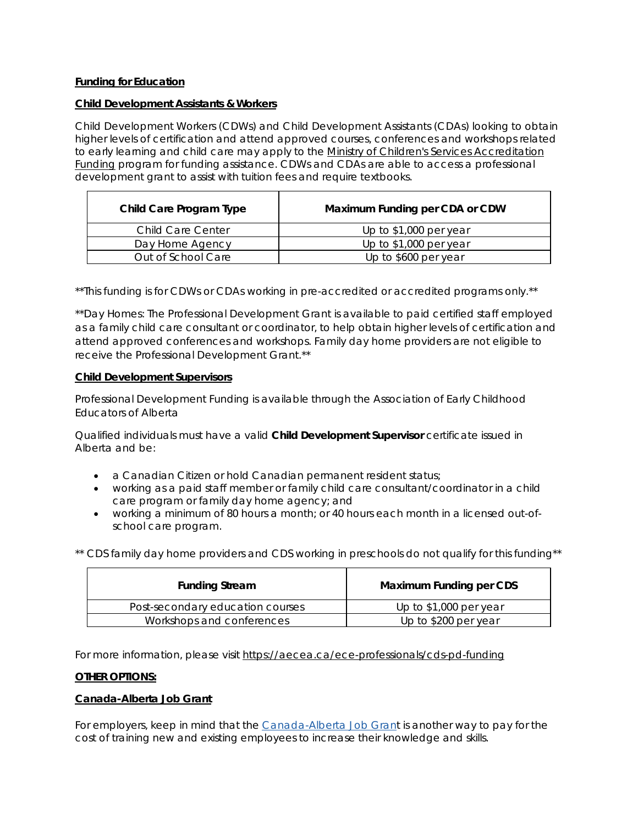# **Funding for Education**

#### **Child Development Assistants & Workers**

Child Development Workers (CDWs) and Child Development Assistants (CDAs) looking to obtain higher levels of certification and attend approved courses, conferences and workshops related to early learning and child care may apply to the [Ministry of Children's Services Accreditation](http://www.humanservices.alberta.ca/family-community/child-care-providers-accreditation-funding.html)  [Funding](http://www.humanservices.alberta.ca/family-community/child-care-providers-accreditation-funding.html) program for funding assistance. CDWs and CDAs are able to access a professional development grant to assist with tuition fees and require textbooks.

| Child Care Program Type  | Maximum Funding per CDA or CDW |
|--------------------------|--------------------------------|
| <b>Child Care Center</b> | Up to \$1,000 per year         |
| Day Home Agency          | Up to \$1,000 per year         |
| Out of School Care       | Up to \$600 per year           |

\*\*This funding is for CDWs or CDAs working in pre-accredited or accredited programs only.\*\*

\*\*Day Homes: The Professional Development Grant is available to paid certified staff employed as a family child care consultant or coordinator, to help obtain higher levels of certification and attend approved conferences and workshops. Family day home providers are not eligible to receive the Professional Development Grant.\*\*

### **Child Development Supervisors**

Professional Development Funding is available through the Association of Early Childhood Educators of Alberta

Qualified individuals must have a valid **[Child Development Supervisor](http://www.humanservices.alberta.ca/family-community/child-care-providers-certification-child-development-supervisor.html)** certificate issued in Alberta and be:

- a Canadian Citizen or hold Canadian permanent resident status;
- working as a paid staff member or family child care consultant/coordinator in a child care program or family day home agency; and
- working a minimum of 80 hours a month; or 40 hours each month in a licensed out-ofschool care program.

|  |  | ** CDS family day home providers and CDS working in preschools do not qualify for this funding** |  |  |
|--|--|--------------------------------------------------------------------------------------------------|--|--|
|  |  |                                                                                                  |  |  |

| <b>Funding Stream</b>            | Maximum Funding per CDS |
|----------------------------------|-------------------------|
| Post-secondary education courses | Up to $$1,000$ per year |
| Workshops and conferences        | Up to \$200 per year    |

For more information, please visit<https://aecea.ca/ece-professionals/cds-pd-funding>

# **OTHER OPTIONS:**

# **Canada-Alberta Job Grant**

For employers, keep in mind that the [Canada-Alberta Job Grant](https://aecea.ca/sites/aecea.ca/modules/civicrm/extern/url.php?u=592&qid=19924) is another way to pay for the cost of training new and existing employees to increase their knowledge and skills.